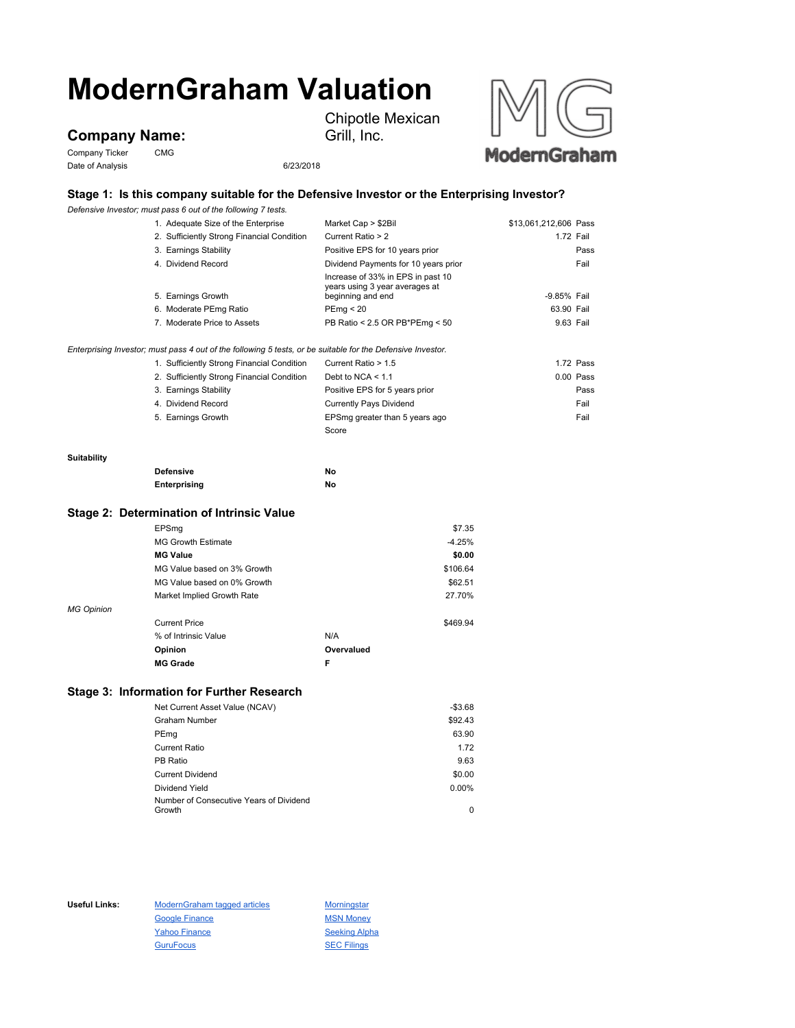# **ModernGraham Valuation**

## **Company Name:**

Company Ticker CMG Date of Analysis 6/23/2018





### **Stage 1: Is this company suitable for the Defensive Investor or the Enterprising Investor?**

Grill, Inc.

*Defensive Investor; must pass 6 out of the following 7 tests.*

|                                                                                                             | 1. Adequate Size of the Enterprise         | Market Cap > \$2Bil                                                                      | \$13,061,212,606 Pass |             |
|-------------------------------------------------------------------------------------------------------------|--------------------------------------------|------------------------------------------------------------------------------------------|-----------------------|-------------|
|                                                                                                             | 2. Sufficiently Strong Financial Condition | Current Ratio > 2                                                                        |                       | 1.72 Fail   |
|                                                                                                             | 3. Earnings Stability                      | Positive EPS for 10 years prior                                                          |                       | Pass        |
|                                                                                                             | 4. Dividend Record                         | Dividend Payments for 10 years prior                                                     |                       | Fail        |
|                                                                                                             | 5. Earnings Growth                         | Increase of 33% in EPS in past 10<br>years using 3 year averages at<br>beginning and end | -9.85% Fail           |             |
|                                                                                                             | 6. Moderate PEmg Ratio                     | PEmg < 20                                                                                | 63.90 Fail            |             |
|                                                                                                             | 7. Moderate Price to Assets                | PB Ratio < 2.5 OR PB*PEmg < 50                                                           | 9.63 Fail             |             |
| Enterprising Investor; must pass 4 out of the following 5 tests, or be suitable for the Defensive Investor. |                                            |                                                                                          |                       |             |
|                                                                                                             | 1. Sufficiently Strong Financial Condition | Current Ratio > 1.5                                                                      |                       | $1.72$ Pass |
|                                                                                                             | 2. Sufficiently Strong Financial Condition | Debt to NCA $<$ 1.1                                                                      |                       | $0.00$ Pass |
|                                                                                                             | 3. Earnings Stability                      | Positive EPS for 5 years prior                                                           |                       | Pass        |
|                                                                                                             | 4. Dividend Record                         | <b>Currently Pays Dividend</b>                                                           |                       | Fail        |
|                                                                                                             | 5. Earnings Growth                         | EPSmg greater than 5 years ago                                                           |                       | Fail        |
|                                                                                                             |                                            | Score                                                                                    |                       |             |
| <b>Suitability</b>                                                                                          |                                            |                                                                                          |                       |             |
|                                                                                                             | <b>Defensive</b>                           | No                                                                                       |                       |             |
|                                                                                                             | Enterprising                               | No                                                                                       |                       |             |

#### **Stage 2: Determination of Intrinsic Value**

|                   | EPSmg                       |            | \$7.35   |
|-------------------|-----------------------------|------------|----------|
|                   | <b>MG Growth Estimate</b>   |            | $-4.25%$ |
|                   | <b>MG Value</b>             |            | \$0.00   |
|                   | MG Value based on 3% Growth |            | \$106.64 |
|                   | MG Value based on 0% Growth |            | \$62.51  |
|                   | Market Implied Growth Rate  |            | 27.70%   |
| <b>MG Opinion</b> |                             |            |          |
|                   | <b>Current Price</b>        |            | \$469.94 |
|                   | % of Intrinsic Value        | N/A        |          |
|                   | Opinion                     | Overvalued |          |
|                   | <b>MG Grade</b>             | F          |          |

#### **Stage 3: Information for Further Research**

| Net Current Asset Value (NCAV)          | $-$3.68$ |
|-----------------------------------------|----------|
| Graham Number                           | \$92.43  |
| PEmg                                    | 63.90    |
| Current Ratio                           | 1.72     |
| PB Ratio                                | 9.63     |
| <b>Current Dividend</b>                 | \$0.00   |
| Dividend Yield                          | 0.00%    |
| Number of Consecutive Years of Dividend |          |
| Growth                                  | 0        |

Useful Links: ModernGraham tagged articles Morningstar Google Finance MSN Money Yahoo Finance Seeking Alpha GuruFocus 30 SEC Filings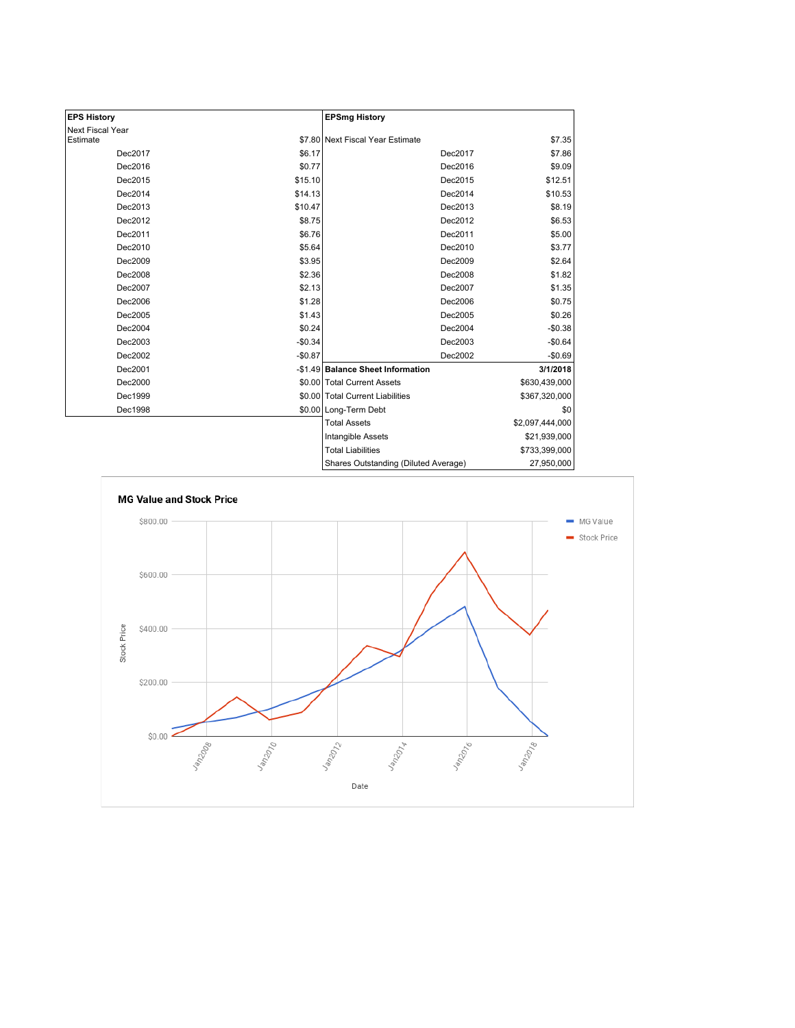| <b>EPS History</b> |          | <b>EPSmg History</b>                 |                 |
|--------------------|----------|--------------------------------------|-----------------|
| Next Fiscal Year   |          |                                      |                 |
| Estimate           |          | \$7.80 Next Fiscal Year Estimate     | \$7.35          |
| Dec2017            | \$6.17   | Dec2017                              | \$7.86          |
| Dec2016            | \$0.77   | Dec2016                              | \$9.09          |
| Dec2015            | \$15.10  | Dec2015                              | \$12.51         |
| Dec2014            | \$14.13  | Dec2014                              | \$10.53         |
| Dec2013            | \$10.47  | Dec2013                              | \$8.19          |
| Dec2012            | \$8.75   | Dec2012                              | \$6.53          |
| Dec2011            | \$6.76   | Dec2011                              | \$5.00          |
| Dec2010            | \$5.64   | Dec2010                              | \$3.77          |
| Dec2009            | \$3.95   | Dec2009                              | \$2.64          |
| Dec2008            | \$2.36   | Dec2008                              | \$1.82          |
| Dec2007            | \$2.13   | Dec2007                              | \$1.35          |
| Dec2006            | \$1.28   | Dec2006                              | \$0.75          |
| Dec2005            | \$1.43   | Dec2005                              | \$0.26          |
| Dec2004            | \$0.24   | Dec2004                              | $-$0.38$        |
| Dec2003            | $-$0.34$ | Dec2003                              | $-$0.64$        |
| Dec2002            | $-$0.87$ | Dec2002                              | $-$0.69$        |
| Dec2001            |          | -\$1.49 Balance Sheet Information    | 3/1/2018        |
| Dec2000            |          | \$0.00 Total Current Assets          | \$630,439,000   |
| Dec1999            |          | \$0.00 Total Current Liabilities     | \$367,320,000   |
| Dec1998            |          | \$0.00 Long-Term Debt                | \$0             |
|                    |          | <b>Total Assets</b>                  | \$2,097,444,000 |
|                    |          | Intangible Assets                    | \$21,939,000    |
|                    |          | <b>Total Liabilities</b>             | \$733,399,000   |
|                    |          | Shares Outstanding (Diluted Average) | 27,950,000      |